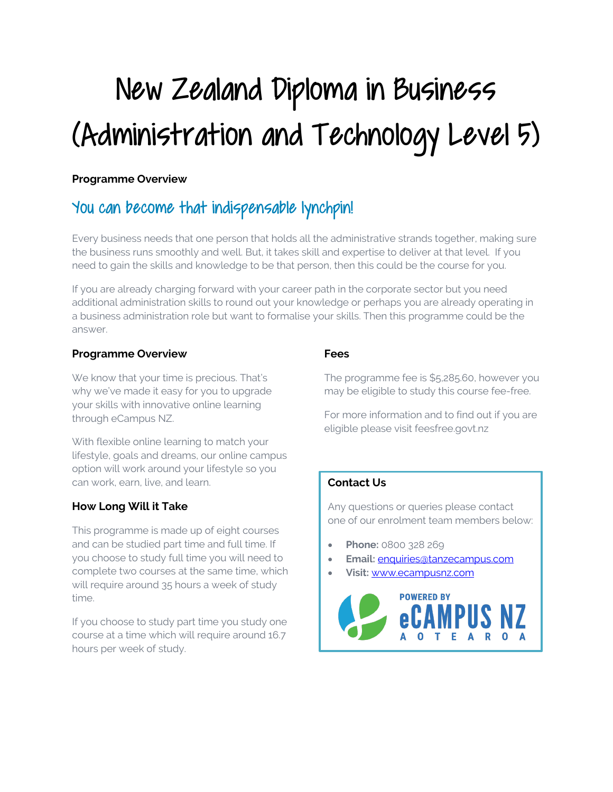# New Zealand Diploma in Business (Administration and Technology Level 5)

## **Programme Overview**

# You can become that indispensable lynchpin!

Every business needs that one person that holds all the administrative strands together, making sure the business runs smoothly and well. But, it takes skill and expertise to deliver at that level. If you need to gain the skills and knowledge to be that person, then this could be the course for you.

If you are already charging forward with your career path in the corporate sector but you need additional administration skills to round out your knowledge or perhaps you are already operating in a business administration role but want to formalise your skills. Then this programme could be the answer.

### **Programme Overview**

We know that your time is precious. That's why we've made it easy for you to upgrade your skills with innovative online learning through eCampus NZ.

With flexible online learning to match your lifestyle, goals and dreams, our online campus option will work around your lifestyle so you can work, earn, live, and learn.

# **How Long Will it Take**

This programme is made up of eight courses and can be studied part time and full time. If you choose to study full time you will need to complete two courses at the same time, which will require around 35 hours a week of study time.

If you choose to study part time you study one course at a time which will require around 16.7 hours per week of study.

# **Fees**

The programme fee is \$5,285.60, however you may be eligible to study this course fee-free.

For more information and to find out if you are eligible please visit feesfree.govt.nz

# **Contact Us**

Any questions or queries please contact one of our enrolment team members below:

- **Phone:** 0800 328 269
- **Email:** enquiries@tanzecampus.com
- **Visit:** www.ecampusnz.com

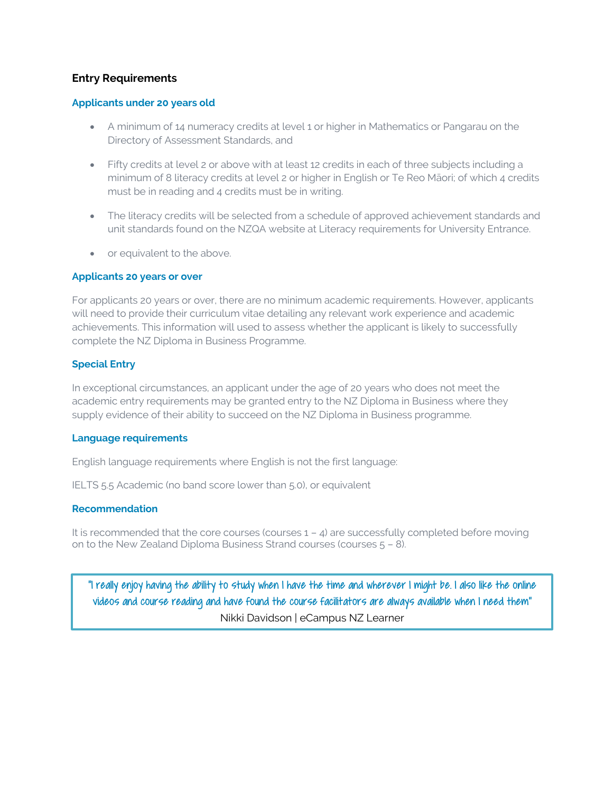#### **Entry Requirements**

#### **Applicants under 20 years old**

- A minimum of 14 numeracy credits at level 1 or higher in Mathematics or Pangarau on the Directory of Assessment Standards, and
- Fifty credits at level 2 or above with at least 12 credits in each of three subjects including a minimum of 8 literacy credits at level 2 or higher in English or Te Reo Māori; of which 4 credits must be in reading and 4 credits must be in writing.
- The literacy credits will be selected from a schedule of approved achievement standards and unit standards found on the NZQA website at Literacy requirements for University Entrance.
- or equivalent to the above.

#### **Applicants 20 years or over**

For applicants 20 years or over, there are no minimum academic requirements. However, applicants will need to provide their curriculum vitae detailing any relevant work experience and academic achievements. This information will used to assess whether the applicant is likely to successfully complete the NZ Diploma in Business Programme.

#### **Special Entry**

In exceptional circumstances, an applicant under the age of 20 years who does not meet the academic entry requirements may be granted entry to the NZ Diploma in Business where they supply evidence of their ability to succeed on the NZ Diploma in Business programme.

#### **Language requirements**

English language requirements where English is not the first language:

IELTS 5.5 Academic (no band score lower than 5.0), or equivalent

#### **Recommendation**

It is recommended that the core courses (courses  $1 - 4$ ) are successfully completed before moving on to the New Zealand Diploma Business Strand courses (courses 5 – 8).

"I really enjoy having the ability to study when I have the time and wherever I might be. I also like the online videos and course reading and have found the course facilitators are always available when I need them" Nikki Davidson | eCampus NZ Learner